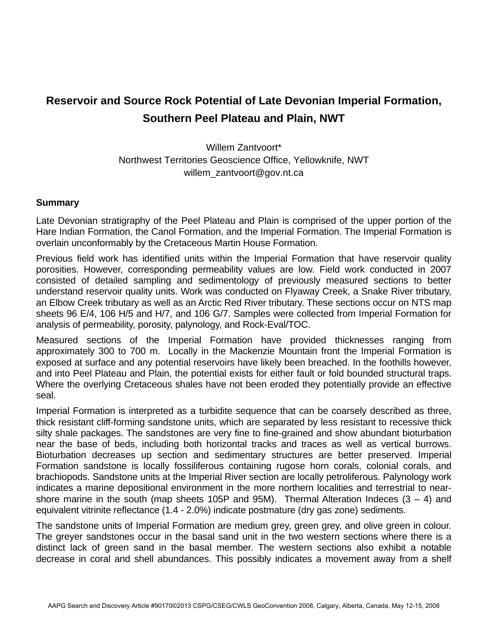## **Reservoir and Source Rock Potential of Late Devonian Imperial Formation, Southern Peel Plateau and Plain, NWT**

Willem Zantvoort\* Northwest Territories Geoscience Office, Yellowknife, NWT willem\_zantvoort@gov.nt.ca

## **Summary**

Late Devonian stratigraphy of the Peel Plateau and Plain is comprised of the upper portion of the Hare Indian Formation, the Canol Formation, and the Imperial Formation. The Imperial Formation is overlain unconformably by the Cretaceous Martin House Formation.

Previous field work has identified units within the Imperial Formation that have reservoir quality porosities. However, corresponding permeability values are low. Field work conducted in 2007 consisted of detailed sampling and sedimentology of previously measured sections to better understand reservoir quality units. Work was conducted on Flyaway Creek, a Snake River tributary, an Elbow Creek tributary as well as an Arctic Red River tributary. These sections occur on NTS map sheets 96 E/4, 106 H/5 and H/7, and 106 G/7. Samples were collected from Imperial Formation for analysis of permeability, porosity, palynology, and Rock-Eval/TOC.

Measured sections of the Imperial Formation have provided thicknesses ranging from approximately 300 to 700 m. Locally in the Mackenzie Mountain front the Imperial Formation is exposed at surface and any potential reservoirs have likely been breached. In the foothills however, and into Peel Plateau and Plain, the potential exists for either fault or fold bounded structural traps. Where the overlying Cretaceous shales have not been eroded they potentially provide an effective seal.

Imperial Formation is interpreted as a turbidite sequence that can be coarsely described as three, thick resistant cliff-forming sandstone units, which are separated by less resistant to recessive thick silty shale packages. The sandstones are very fine to fine-grained and show abundant bioturbation near the base of beds, including both horizontal tracks and traces as well as vertical burrows. Bioturbation decreases up section and sedimentary structures are better preserved. Imperial Formation sandstone is locally fossiliferous containing rugose horn corals, colonial corals, and brachiopods. Sandstone units at the Imperial River section are locally petroliferous. Palynology work indicates a marine depositional environment in the more northern localities and terrestrial to nearshore marine in the south (map sheets 105P and 95M). Thermal Alteration Indeces  $(3 - 4)$  and equivalent vitrinite reflectance (1.4 - 2.0%) indicate postmature (dry gas zone) sediments.

The sandstone units of Imperial Formation are medium grey, green grey, and olive green in colour. The greyer sandstones occur in the basal sand unit in the two western sections where there is a distinct lack of green sand in the basal member. The western sections also exhibit a notable decrease in coral and shell abundances. This possibly indicates a movement away from a shelf